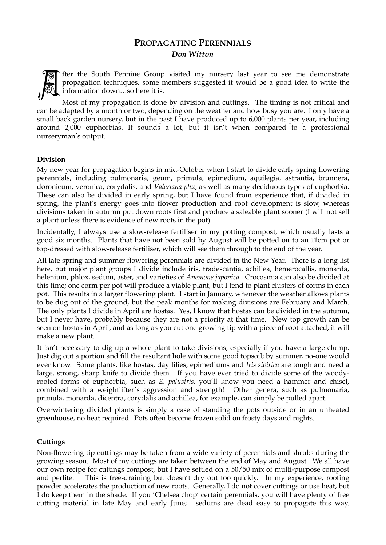## **PROPAGATING PERENNIALS**  *Don Witton*



fter the South Pennine Group visited my nursery last year to see me demonstrate propagation techniques, some members suggested it would be a good idea to write the information down…so here it is.

Most of my propagation is done by division and cuttings. The timing is not critical and can be adapted by a month or two, depending on the weather and how busy you are. I only have a small back garden nursery, but in the past I have produced up to 6,000 plants per year, including around 2,000 euphorbias. It sounds a lot, but it isn't when compared to a professional nurseryman's output.

## **Division**

My new year for propagation begins in mid-October when I start to divide early spring flowering perennials, including pulmonaria, geum, primula, epimedium, aquilegia, astrantia, brunnera, doronicum, veronica, corydalis, and *Valeriana phu*, as well as many deciduous types of euphorbia. These can also be divided in early spring, but I have found from experience that, if divided in spring, the plant's energy goes into flower production and root development is slow, whereas divisions taken in autumn put down roots first and produce a saleable plant sooner (I will not sell a plant unless there is evidence of new roots in the pot).

Incidentally, I always use a slow-release fertiliser in my potting compost, which usually lasts a good six months. Plants that have not been sold by August will be potted on to an 11cm pot or top-dressed with slow-release fertiliser, which will see them through to the end of the year.

All late spring and summer flowering perennials are divided in the New Year. There is a long list here, but major plant groups I divide include iris, tradescantia, achillea, hemerocallis, monarda, helenium, phlox, sedum, aster, and varieties of *Anemone japonica*. Crocosmia can also be divided at this time; one corm per pot will produce a viable plant, but I tend to plant clusters of corms in each pot. This results in a larger flowering plant. I start in January, whenever the weather allows plants to be dug out of the ground, but the peak months for making divisions are February and March. The only plants I divide in April are hostas. Yes, I know that hostas can be divided in the autumn, but I never have, probably because they are not a priority at that time. New top growth can be seen on hostas in April, and as long as you cut one growing tip with a piece of root attached, it will make a new plant.

It isn't necessary to dig up a whole plant to take divisions, especially if you have a large clump. Just dig out a portion and fill the resultant hole with some good topsoil; by summer, no-one would ever know. Some plants, like hostas, day lilies, epimediums and *Iris sibirica* are tough and need a large, strong, sharp knife to divide them. If you have ever tried to divide some of the woodyrooted forms of euphorbia, such as *E. palustris*, you'll know you need a hammer and chisel, combined with a weightlifter's aggression and strength! Other genera, such as pulmonaria, primula, monarda, dicentra, corydalis and achillea, for example, can simply be pulled apart.

Overwintering divided plants is simply a case of standing the pots outside or in an unheated greenhouse, no heat required. Pots often become frozen solid on frosty days and nights.

## **Cuttings**

Non-flowering tip cuttings may be taken from a wide variety of perennials and shrubs during the growing season. Most of my cuttings are taken between the end of May and August. We all have our own recipe for cuttings compost, but I have settled on a 50/50 mix of multi-purpose compost and perlite. This is free-draining but doesn't dry out too quickly. In my experience, rooting powder accelerates the production of new roots. Generally, I do not cover cuttings or use heat, but I do keep them in the shade. If you 'Chelsea chop' certain perennials, you will have plenty of free cutting material in late May and early June; sedums are dead easy to propagate this way.